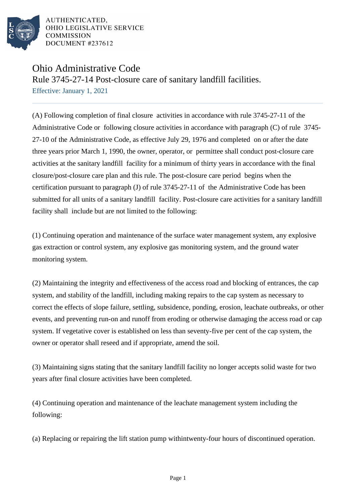

## Ohio Administrative Code

Rule 3745-27-14 Post-closure care of sanitary landfill facilities. Effective: January 1, 2021

(A) Following completion of final closure activities in accordance with rule 3745-27-11 of the Administrative Code or following closure activities in accordance with paragraph (C) of rule 3745- 27-10 of the Administrative Code, as effective July 29, 1976 and completed on or after the date three years prior March 1, 1990, the owner, operator, or permittee shall conduct post-closure care activities at the sanitary landfill facility for a minimum of thirty years in accordance with the final closure/post-closure care plan and this rule. The post-closure care period begins when the certification pursuant to paragraph (J) of rule 3745-27-11 of the Administrative Code has been submitted for all units of a sanitary landfill facility. Post-closure care activities for a sanitary landfill facility shall include but are not limited to the following:

(1) Continuing operation and maintenance of the surface water management system, any explosive gas extraction or control system, any explosive gas monitoring system, and the ground water monitoring system.

(2) Maintaining the integrity and effectiveness of the access road and blocking of entrances, the cap system, and stability of the landfill, including making repairs to the cap system as necessary to correct the effects of slope failure, settling, subsidence, ponding, erosion, leachate outbreaks, or other events, and preventing run-on and runoff from eroding or otherwise damaging the access road or cap system. If vegetative cover is established on less than seventy-five per cent of the cap system, the owner or operator shall reseed and if appropriate, amend the soil.

(3) Maintaining signs stating that the sanitary landfill facility no longer accepts solid waste for two years after final closure activities have been completed.

(4) Continuing operation and maintenance of the leachate management system including the following:

(a) Replacing or repairing the lift station pump within twenty-four hours of discontinued operation.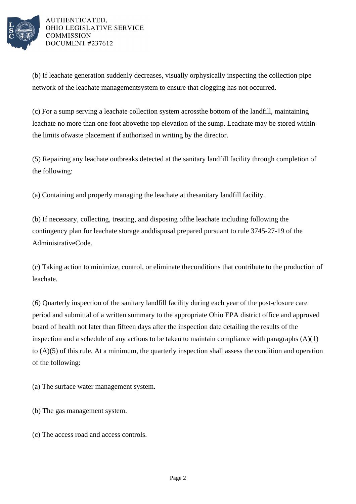

(b) If leachate generation suddenly decreases, visually or physically inspecting the collection pipe network of the leachate management system to ensure that clogging has not occurred.

(c) For a sump serving a leachate collection system across the bottom of the landfill, maintaining leachate no more than one foot above the top elevation of the sump. Leachate may be stored within the limits of waste placement if authorized in writing by the director.

(5) Repairing any leachate outbreaks detected at the sanitary landfill facility through completion of the following:

(a) Containing and properly managing the leachate at the sanitary landfill facility.

(b) If necessary, collecting, treating, and disposing of the leachate including following the contingency plan for leachate storage and disposal prepared pursuant to rule 3745-27-19 of the Administrative Code.

(c) Taking action to minimize, control, or eliminate the conditions that contribute to the production of leachate.

(6) Quarterly inspection of the sanitary landfill facility during each year of the post-closure care period and submittal of a written summary to the appropriate Ohio EPA district office and approved board of health not later than fifteen days after the inspection date detailing the results of the inspection and a schedule of any actions to be taken to maintain compliance with paragraphs  $(A)(1)$ to  $(A)(5)$  of this rule. At a minimum, the quarterly inspection shall assess the condition and operation of the following:

(a) The surface water management system.

- (b) The gas management system.
- (c) The access road and access controls.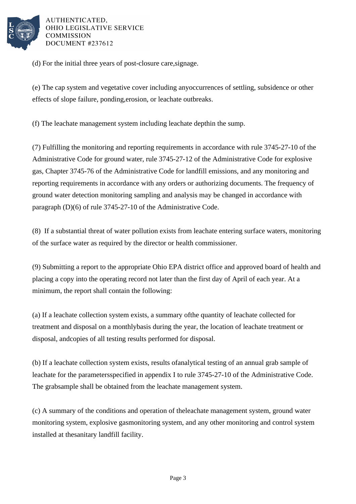

(d) For the initial three years of post-closure care, signage.

(e) The cap system and vegetative cover including any occurrences of settling, subsidence or other effects of slope failure, ponding, erosion, or leachate outbreaks.

(f) The leachate management system including leachate depth in the sump.

(7) Fulfilling the monitoring and reporting requirements in accordance with rule 3745-27-10 of the Administrative Code for ground water, rule 3745-27-12 of the Administrative Code for explosive gas, Chapter 3745-76 of the Administrative Code for landfill emissions, and any monitoring and reporting requirements in accordance with any orders or authorizing documents. The frequency of ground water detection monitoring sampling and analysis may be changed in accordance with paragraph  $(D)(6)$  of rule 3745-27-10 of the Administrative Code.

(8) If a substantial threat of water pollution exists from leachate entering surface waters, monitoring of the surface water as required by the director or health commissioner.

(9) Submitting a report to the appropriate Ohio EPA district office and approved board of health and placing a copy into the operating record not later than the first day of April of each year. At a minimum, the report shall contain the following:

(a) If a leachate collection system exists, a summary of the quantity of leachate collected for treatment and disposal on a monthly basis during the year, the location of leachate treatment or disposal, and copies of all testing results performed for disposal.

(b) If a leachate collection system exists, results of analytical testing of an annual grab sample of leachate for the parameters specified in appendix I to rule  $3745-27-10$  of the Administrative Code. The grab sample shall be obtained from the leachate management system.

(c) A summary of the conditions and operation of the leachate management system, ground water monitoring system, explosive gas monitoring system, and any other monitoring and control system installed at the sanitary landfill facility.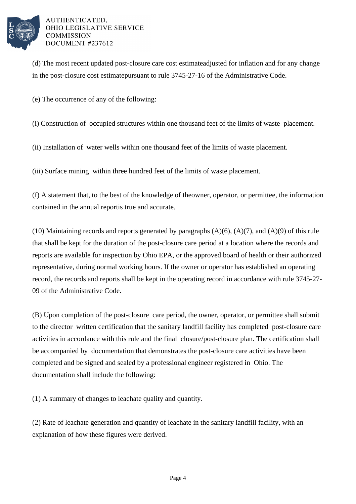

(d) The most recent updated post-closure care cost estimate adjusted for inflation and for any change in the post-closure cost estimate pursuant to rule 3745-27-16 of the Administrative Code.

(e) The occurrence of any of the following:

(i) Construction of occupied structures within one thousand feet of the limits of waste placement.

(ii) Installation of water wells within one thousand feet of the limits of waste placement.

(iii) Surface mining within three hundred feet of the limits of waste placement.

(f) A statement that, to the best of the knowledge of the owner, operator, or permittee, the information contained in the annual report is true and accurate.

(10) Maintaining records and reports generated by paragraphs  $(A)(6)$ ,  $(A)(7)$ , and  $(A)(9)$  of this rule that shall be kept for the duration of the post-closure care period at a location where the records and reports are available for inspection by Ohio EPA, or the approved board of health or their authorized representative, during normal working hours. If the owner or operator has established an operating record, the records and reports shall be kept in the operating record in accordance with rule 3745-27-09 of the Administrative Code.

(B) Upon completion of the post-closure care period, the owner, operator, or permittee shall submit to the director written certification that the sanitary landfill facility has completed post-closure care activities in accordance with this rule and the final closure/post-closure plan. The certification shall be accompanied by documentation that demonstrates the post-closure care activities have been completed and be signed and sealed by a professional engineer registered in Ohio. The documentation shall include the following:

(1) A summary of changes to leachate quality and quantity.

(2) Rate of leachate generation and quantity of leachate in the sanitary landfill facility, with an explanation of how these figures were derived.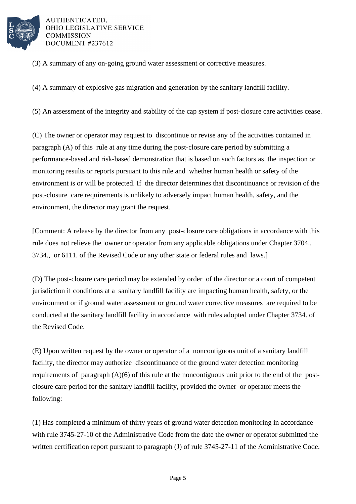

(3) A summary of any on-going ground water assessment or corrective measures.

(4) A summary of explosive gas migration and generation by the sanitary landfill facility.

(5) An assessment of the integrity and stability of the cap system if post-closure care activities cease.

(C) The owner or operator may request to discontinue or revise any of the activities contained in paragraph (A) of this rule at any time during the post-closure care period by submitting a performance-based and risk-based demonstration that is based on such factors as the inspection or monitoring results or reports pursuant to this rule and whether human health or safety of the environment is or will be protected. If the director determines that discontinuance or revision of the post-closure care requirements is unlikely to adversely impact human health, safety, and the environment, the director may grant the request.

[Comment: A release by the director from any post-closure care obligations in accordance with this rule does not relieve the owner or operator from any applicable obligations under Chapter 3704., 3734., or 6111. of the Revised Code or any other state or federal rules and laws.]

(D) The post-closure care period may be extended by order of the director or a court of competent jurisdiction if conditions at a sanitary landfill facility are impacting human health, safety, or the environment or if ground water assessment or ground water corrective measures are required to be conducted at the sanitary landfill facility in accordance with rules adopted under Chapter 3734. of the Revised Code.

(E) Upon written request by the owner or operator of a noncontiguous unit of a sanitary landfill facility, the director may authorize discontinuance of the ground water detection monitoring requirements of paragraph (A)(6) of this rule at the noncontiguous unit prior to the end of the postclosure care period for the sanitary landfill facility, provided the owner or operator meets the following:

(1) Has completed a minimum of thirty years of ground water detection monitoring in accordance with rule 3745-27-10 of the Administrative Code from the date the owner or operator submitted the written certification report pursuant to paragraph (J) of rule 3745-27-11 of the Administrative Code.